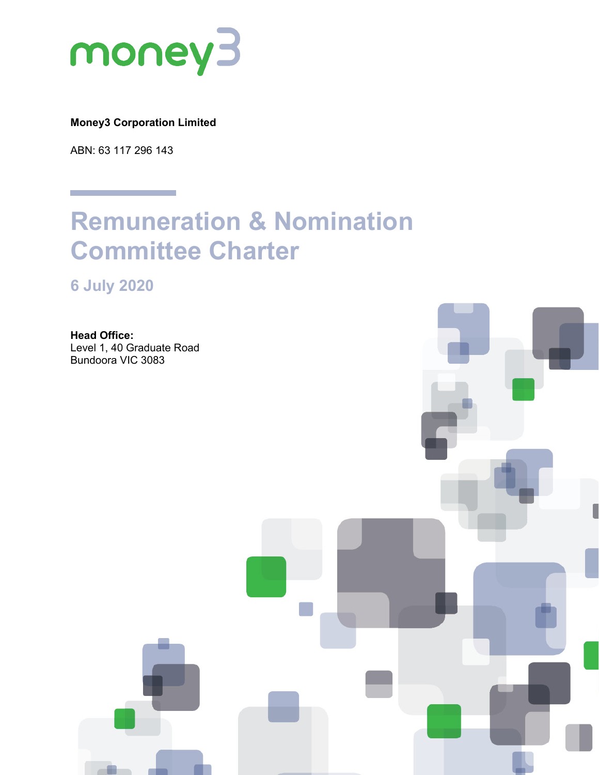

# **Money3 Corporation Limited**

ABN: 63 117 296 143

# **Remuneration & Nomination Committee Charter**

**6 July 2020**

**Head Office:** Level 1, 40 Graduate Road Bundoora VIC 3083

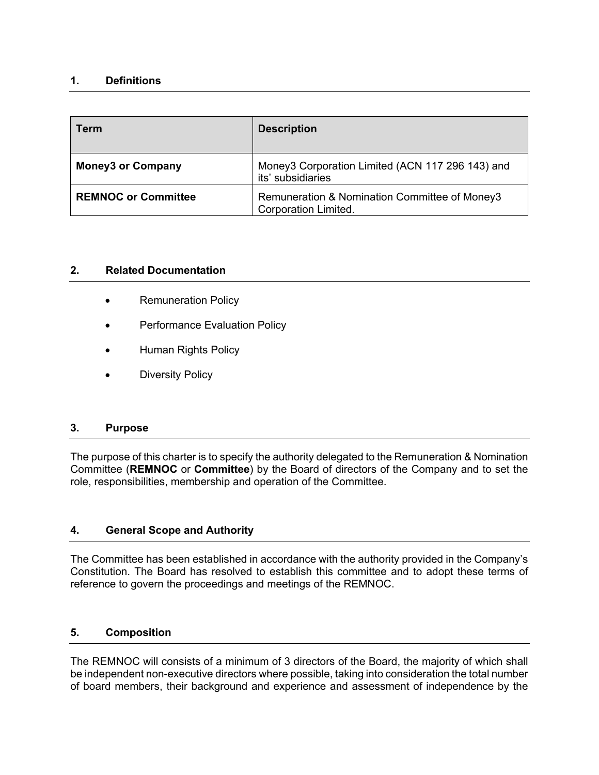# **1. Definitions**

| Term                       | <b>Description</b>                                                           |
|----------------------------|------------------------------------------------------------------------------|
| <b>Money3 or Company</b>   | Money3 Corporation Limited (ACN 117 296 143) and<br>its' subsidiaries        |
| <b>REMNOC or Committee</b> | Remuneration & Nomination Committee of Money3<br><b>Corporation Limited.</b> |

## **2. Related Documentation**

- Remuneration Policy
- Performance Evaluation Policy
- Human Rights Policy
- Diversity Policy

#### **3. Purpose**

The purpose of this charter is to specify the authority delegated to the Remuneration & Nomination Committee (**REMNOC** or **Committee**) by the Board of directors of the Company and to set the role, responsibilities, membership and operation of the Committee.

## **4. General Scope and Authority**

The Committee has been established in accordance with the authority provided in the Company's Constitution. The Board has resolved to establish this committee and to adopt these terms of reference to govern the proceedings and meetings of the REMNOC.

## **5. Composition**

The REMNOC will consists of a minimum of 3 directors of the Board, the majority of which shall be independent non-executive directors where possible, taking into consideration the total number of board members, their background and experience and assessment of independence by the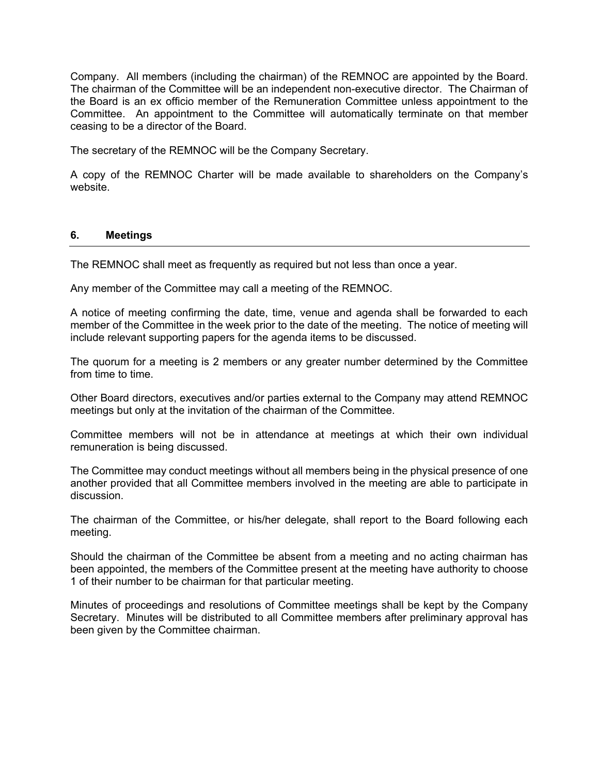Company. All members (including the chairman) of the REMNOC are appointed by the Board. The chairman of the Committee will be an independent non-executive director. The Chairman of the Board is an ex officio member of the Remuneration Committee unless appointment to the Committee. An appointment to the Committee will automatically terminate on that member ceasing to be a director of the Board.

The secretary of the REMNOC will be the Company Secretary.

A copy of the REMNOC Charter will be made available to shareholders on the Company's website.

## **6. Meetings**

The REMNOC shall meet as frequently as required but not less than once a year.

Any member of the Committee may call a meeting of the REMNOC.

A notice of meeting confirming the date, time, venue and agenda shall be forwarded to each member of the Committee in the week prior to the date of the meeting. The notice of meeting will include relevant supporting papers for the agenda items to be discussed.

The quorum for a meeting is 2 members or any greater number determined by the Committee from time to time.

Other Board directors, executives and/or parties external to the Company may attend REMNOC meetings but only at the invitation of the chairman of the Committee.

Committee members will not be in attendance at meetings at which their own individual remuneration is being discussed.

The Committee may conduct meetings without all members being in the physical presence of one another provided that all Committee members involved in the meeting are able to participate in discussion.

The chairman of the Committee, or his/her delegate, shall report to the Board following each meeting.

Should the chairman of the Committee be absent from a meeting and no acting chairman has been appointed, the members of the Committee present at the meeting have authority to choose 1 of their number to be chairman for that particular meeting.

Minutes of proceedings and resolutions of Committee meetings shall be kept by the Company Secretary. Minutes will be distributed to all Committee members after preliminary approval has been given by the Committee chairman.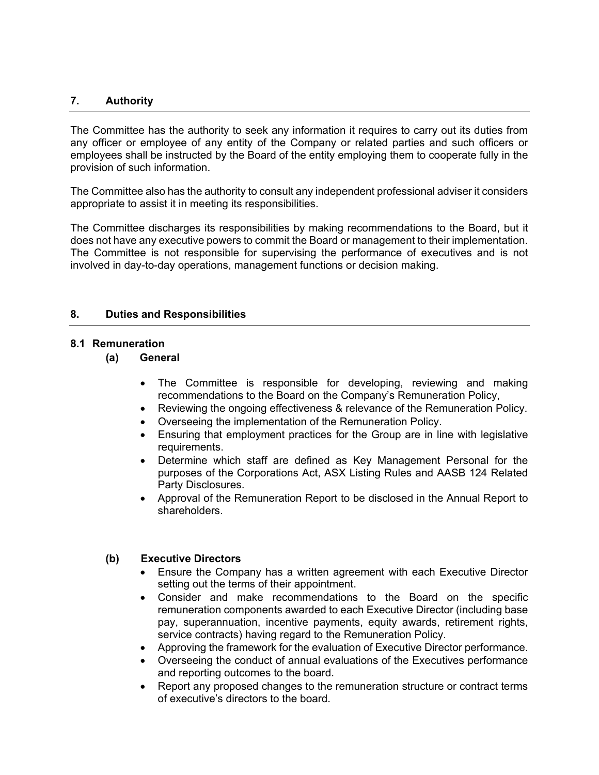## **7. Authority**

The Committee has the authority to seek any information it requires to carry out its duties from any officer or employee of any entity of the Company or related parties and such officers or employees shall be instructed by the Board of the entity employing them to cooperate fully in the provision of such information.

The Committee also has the authority to consult any independent professional adviser it considers appropriate to assist it in meeting its responsibilities.

The Committee discharges its responsibilities by making recommendations to the Board, but it does not have any executive powers to commit the Board or management to their implementation. The Committee is not responsible for supervising the performance of executives and is not involved in day-to-day operations, management functions or decision making.

## **8. Duties and Responsibilities**

#### **8.1 Remuneration**

## **(a) General**

- The Committee is responsible for developing, reviewing and making recommendations to the Board on the Company's Remuneration Policy,
- Reviewing the ongoing effectiveness & relevance of the Remuneration Policy.
- Overseeing the implementation of the Remuneration Policy.
- Ensuring that employment practices for the Group are in line with legislative requirements.
- Determine which staff are defined as Key Management Personal for the purposes of the Corporations Act, ASX Listing Rules and AASB 124 Related Party Disclosures.
- Approval of the Remuneration Report to be disclosed in the Annual Report to shareholders.

#### **(b) Executive Directors**

- Ensure the Company has a written agreement with each Executive Director setting out the terms of their appointment.
- Consider and make recommendations to the Board on the specific remuneration components awarded to each Executive Director (including base pay, superannuation, incentive payments, equity awards, retirement rights, service contracts) having regard to the Remuneration Policy.
- Approving the framework for the evaluation of Executive Director performance.
- Overseeing the conduct of annual evaluations of the Executives performance and reporting outcomes to the board.
- Report any proposed changes to the remuneration structure or contract terms of executive's directors to the board.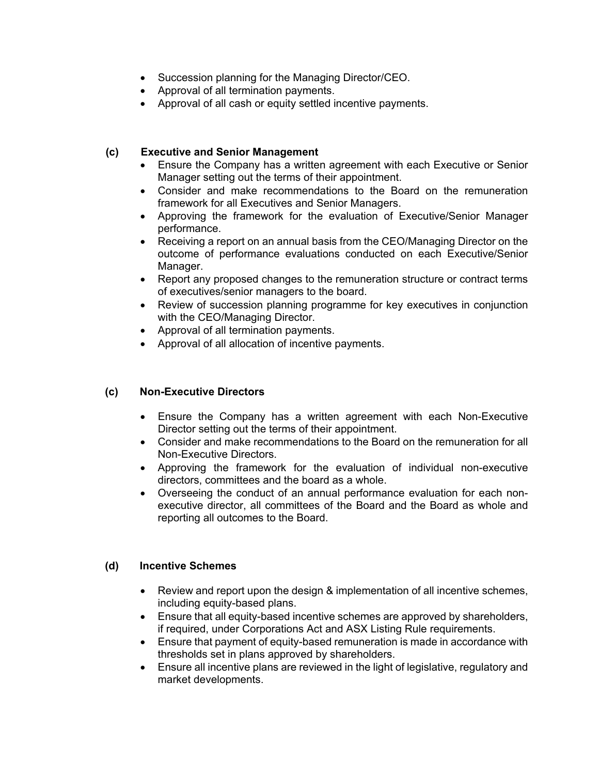- Succession planning for the Managing Director/CEO.
- Approval of all termination payments.
- Approval of all cash or equity settled incentive payments.

# **(c) Executive and Senior Management**

- Ensure the Company has a written agreement with each Executive or Senior Manager setting out the terms of their appointment.
- Consider and make recommendations to the Board on the remuneration framework for all Executives and Senior Managers.
- Approving the framework for the evaluation of Executive/Senior Manager performance.
- Receiving a report on an annual basis from the CEO/Managing Director on the outcome of performance evaluations conducted on each Executive/Senior Manager.
- Report any proposed changes to the remuneration structure or contract terms of executives/senior managers to the board.
- Review of succession planning programme for key executives in conjunction with the CEO/Managing Director.
- Approval of all termination payments.
- Approval of all allocation of incentive payments.

## **(c) Non-Executive Directors**

- Ensure the Company has a written agreement with each Non-Executive Director setting out the terms of their appointment.
- Consider and make recommendations to the Board on the remuneration for all Non-Executive Directors.
- Approving the framework for the evaluation of individual non-executive directors, committees and the board as a whole.
- Overseeing the conduct of an annual performance evaluation for each nonexecutive director, all committees of the Board and the Board as whole and reporting all outcomes to the Board.

## **(d) Incentive Schemes**

- Review and report upon the design & implementation of all incentive schemes, including equity-based plans.
- Ensure that all equity-based incentive schemes are approved by shareholders, if required, under Corporations Act and ASX Listing Rule requirements.
- Ensure that payment of equity-based remuneration is made in accordance with thresholds set in plans approved by shareholders.
- Ensure all incentive plans are reviewed in the light of legislative, regulatory and market developments.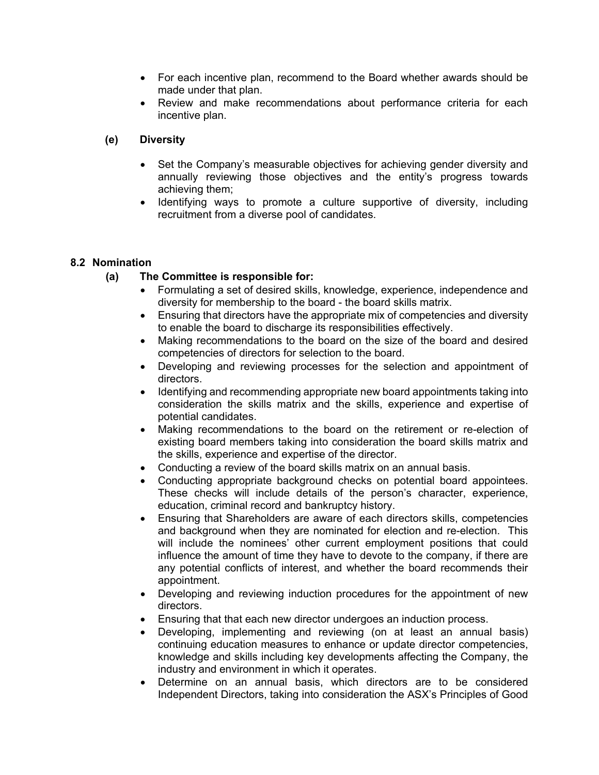- For each incentive plan, recommend to the Board whether awards should be made under that plan.
- Review and make recommendations about performance criteria for each incentive plan.

# **(e) Diversity**

- Set the Company's measurable objectives for achieving gender diversity and annually reviewing those objectives and the entity's progress towards achieving them;
- Identifying ways to promote a culture supportive of diversity, including recruitment from a diverse pool of candidates.

# **8.2 Nomination**

# **(a) The Committee is responsible for:**

- Formulating a set of desired skills, knowledge, experience, independence and diversity for membership to the board - the board skills matrix.
- Ensuring that directors have the appropriate mix of competencies and diversity to enable the board to discharge its responsibilities effectively.
- Making recommendations to the board on the size of the board and desired competencies of directors for selection to the board.
- Developing and reviewing processes for the selection and appointment of directors.
- Identifying and recommending appropriate new board appointments taking into consideration the skills matrix and the skills, experience and expertise of potential candidates.
- Making recommendations to the board on the retirement or re-election of existing board members taking into consideration the board skills matrix and the skills, experience and expertise of the director.
- Conducting a review of the board skills matrix on an annual basis.
- Conducting appropriate background checks on potential board appointees. These checks will include details of the person's character, experience, education, criminal record and bankruptcy history.
- Ensuring that Shareholders are aware of each directors skills, competencies and background when they are nominated for election and re-election. This will include the nominees' other current employment positions that could influence the amount of time they have to devote to the company, if there are any potential conflicts of interest, and whether the board recommends their appointment.
- Developing and reviewing induction procedures for the appointment of new directors.
- Ensuring that that each new director undergoes an induction process.
- Developing, implementing and reviewing (on at least an annual basis) continuing education measures to enhance or update director competencies, knowledge and skills including key developments affecting the Company, the industry and environment in which it operates.
- Determine on an annual basis, which directors are to be considered Independent Directors, taking into consideration the ASX's Principles of Good